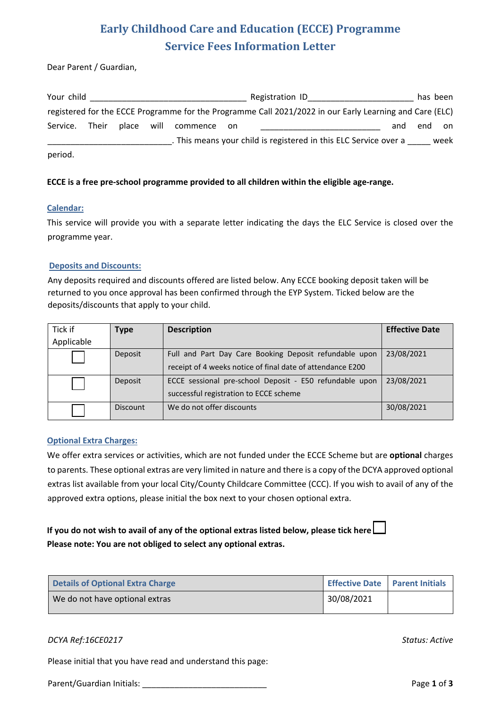# **Early Childhood Care and Education (ECCE) Programme Service Fees Information Letter**

Dear Parent / Guardian,

| Your child |       |            |          |       | Registration ID                                                                                         |     | has been |      |
|------------|-------|------------|----------|-------|---------------------------------------------------------------------------------------------------------|-----|----------|------|
|            |       |            |          |       | registered for the ECCE Programme for the Programme Call 2021/2022 in our Early Learning and Care (ELC) |     |          |      |
| Service.   | Their | place will | commence | on on |                                                                                                         | and | end      | on   |
|            |       |            |          |       | . This means your child is registered in this ELC Service over a                                        |     |          | week |
| period.    |       |            |          |       |                                                                                                         |     |          |      |

### **ECCE is a free pre-school programme provided to all children within the eligible age-range.**

#### **Calendar:**

This service will provide you with a separate letter indicating the days the ELC Service is closed over the programme year.

#### **Deposits and Discounts:**

Any deposits required and discounts offered are listed below. Any ECCE booking deposit taken will be returned to you once approval has been confirmed through the EYP System. Ticked below are the deposits/discounts that apply to your child.

| Tick if    | Type            | <b>Description</b>                                                                                                   | <b>Effective Date</b> |
|------------|-----------------|----------------------------------------------------------------------------------------------------------------------|-----------------------|
| Applicable |                 |                                                                                                                      |                       |
|            | Deposit         | Full and Part Day Care Booking Deposit refundable upon<br>receipt of 4 weeks notice of final date of attendance E200 | 23/08/2021            |
|            | Deposit         | ECCE sessional pre-school Deposit - E50 refundable upon<br>successful registration to ECCE scheme                    | 23/08/2021            |
|            | <b>Discount</b> | We do not offer discounts                                                                                            | 30/08/2021            |

### **Optional Extra Charges:**

We offer extra services or activities, which are not funded under the ECCE Scheme but are **optional** charges to parents. These optional extras are very limited in nature and there is a copy of the DCYA approved optional extras list available from your local City/County Childcare Committee (CCC). If you wish to avail of any of the approved extra options, please initial the box next to your chosen optional extra.

## **If you do not wish to avail of any of the optional extras listed below, please tick here Please note: You are not obliged to select any optional extras.**

| <b>Details of Optional Extra Charge</b> |            | Effective Date   Parent Initials |
|-----------------------------------------|------------|----------------------------------|
| We do not have optional extras          | 30/08/2021 |                                  |

### *DCYA Ref:16CE0217 Status: Active*

Please initial that you have read and understand this page:

Parent/Guardian Initials: Parent/Guardian Initials: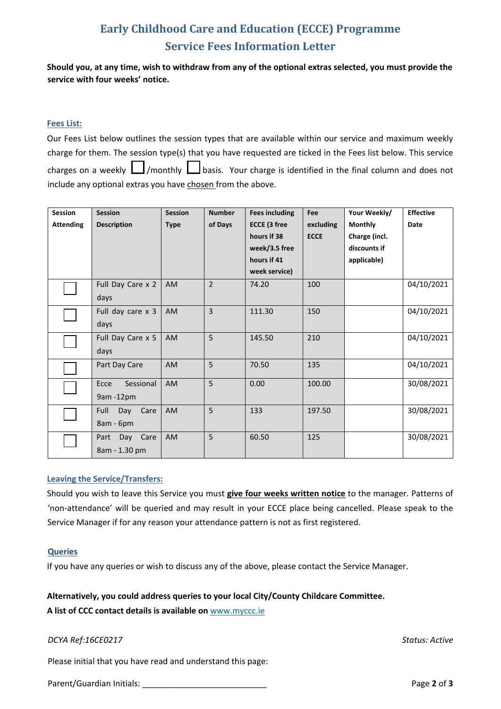# **Early Childhood Care and Education (ECCE) Programme Service Fees Information Letter**

**Should you, at any time, wish to withdraw from any of the optional extras selected, you must provide the service with four weeks' notice.**

### **Fees List:**

| Our Fees List below outlines the session types that are available within our service and maximum weekly      |
|--------------------------------------------------------------------------------------------------------------|
| charge for them. The session type(s) that you have requested are ticked in the Fees list below. This service |
| charges on a weekly $\Box$ /monthly $\Box$ basis. Your charge is identified in the final column and does not |
| include any optional extras you have chosen from the above.                                                  |

| <b>Session</b>   | <b>Session</b>      | <b>Session</b> | <b>Number</b>  | <b>Fees including</b> | Fee         | Your Weekly/   | <b>Effective</b> |
|------------------|---------------------|----------------|----------------|-----------------------|-------------|----------------|------------------|
| <b>Attending</b> | <b>Description</b>  | <b>Type</b>    | of Days        | <b>ECCE (3 free</b>   | excluding   | <b>Monthly</b> | <b>Date</b>      |
|                  |                     |                |                | hours if 38           | <b>ECCE</b> | Charge (incl.  |                  |
|                  |                     |                |                | week/3.5 free         |             | discounts if   |                  |
|                  |                     |                |                | hours if 41           |             | applicable)    |                  |
|                  |                     |                |                | week service)         |             |                |                  |
|                  | Full Day Care x 2   | AM             | $\overline{2}$ | 74.20                 | 100         |                | 04/10/2021       |
|                  | days                |                |                |                       |             |                |                  |
|                  | Full day care x 3   | AM             | 3              | 111.30                | 150         |                | 04/10/2021       |
|                  | days                |                |                |                       |             |                |                  |
|                  | Full Day Care x 5   | <b>AM</b>      | 5              | 145.50                | 210         |                | 04/10/2021       |
|                  | days                |                |                |                       |             |                |                  |
|                  | Part Day Care       | <b>AM</b>      | 5              | 70.50                 | 135         |                | 04/10/2021       |
|                  | Sessional<br>Ecce   | <b>AM</b>      | 5              | 0.00                  | 100.00      |                | 30/08/2021       |
|                  | 9am -12pm           |                |                |                       |             |                |                  |
|                  | Full<br>Day<br>Care | AM             | 5              | 133                   | 197.50      |                | 30/08/2021       |
|                  | 8am - 6pm           |                |                |                       |             |                |                  |
|                  | Day Care<br>Part    | AM             | 5              | 60.50                 | 125         |                | 30/08/2021       |
|                  | 8am - 1.30 pm       |                |                |                       |             |                |                  |

### **Leaving the Service/Transfers:**

Should you wish to leave this Service you must **give four weeks written notice** to the manager. Patterns of 'non-attendance' will be queried and may result in your ECCE place being cancelled. Please speak to the Service Manager if for any reason your attendance pattern is not as first registered.

### **Queries**

If you have any queries or wish to discuss any of the above, please contact the Service Manager.

### **Alternatively, you could address queries to your local City/County Childcare Committee.**

**A list of CCC contact details is available on** www.myccc.ie

### *DCYA Ref:16CE0217 Status: Active*

Please initial that you have read and understand this page:

Parent/Guardian Initials: \_\_\_\_\_\_\_\_\_\_\_\_\_\_\_\_\_\_\_\_\_\_\_\_\_\_\_ Page **2** of **3**